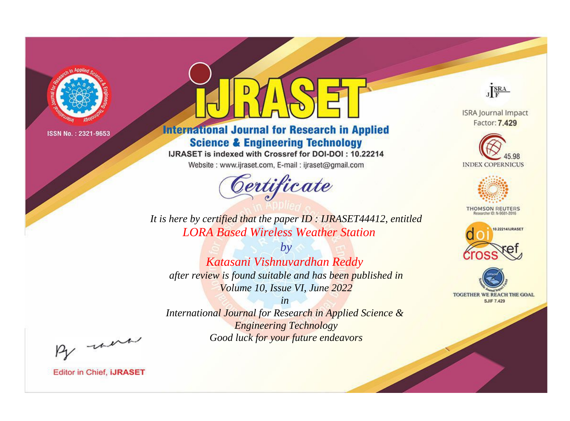

# **International Journal for Research in Applied Science & Engineering Technology**

IJRASET is indexed with Crossref for DOI-DOI: 10.22214

Website: www.ijraset.com, E-mail: ijraset@gmail.com



JERA

**ISRA Journal Impact** Factor: 7.429





**THOMSON REUTERS** 



TOGETHER WE REACH THE GOAL **SJIF 7.429** 

*It is here by certified that the paper ID : IJRASET44412, entitled LORA Based Wireless Weather Station*

*by Katasani Vishnuvardhan Reddy after review is found suitable and has been published in Volume 10, Issue VI, June 2022*

*in International Journal for Research in Applied Science & Engineering Technology*

*Good luck for your future endeavors*

By morn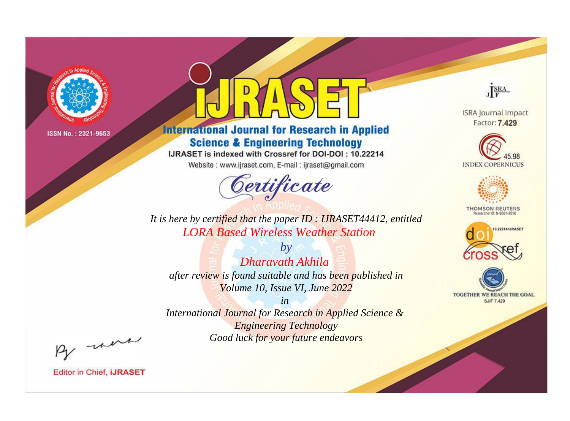

# **International Journal for Research in Applied Science & Engineering Technology**

IJRASET is indexed with Crossref for DOI-DOI: 10.22214

Website: www.ijraset.com, E-mail: ijraset@gmail.com



JERA

**ISRA Journal Impact** Factor: 7.429





**THOMSON REUTERS** 



TOGETHER WE REACH THE GOAL **SJIF 7.429** 

It is here by certified that the paper ID: IJRASET44412, entitled **LORA Based Wireless Weather Station** 

 $by$ Dharavath Akhila after review is found suitable and has been published in Volume 10, Issue VI, June 2022

 $in$ International Journal for Research in Applied Science & **Engineering Technology** Good luck for your future endeavors

By morn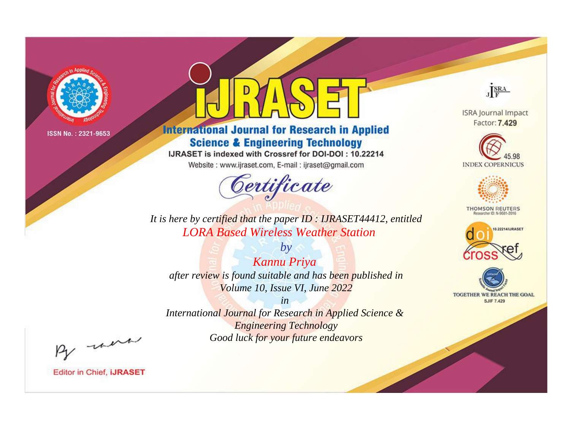

# **International Journal for Research in Applied Science & Engineering Technology**

IJRASET is indexed with Crossref for DOI-DOI: 10.22214

Website: www.ijraset.com, E-mail: ijraset@gmail.com



JERA

**ISRA Journal Impact** Factor: 7.429





**THOMSON REUTERS** 



TOGETHER WE REACH THE GOAL **SJIF 7.429** 

*It is here by certified that the paper ID : IJRASET44412, entitled LORA Based Wireless Weather Station*

*by Kannu Priya after review is found suitable and has been published in Volume 10, Issue VI, June 2022*

*in* 

*International Journal for Research in Applied Science & Engineering Technology Good luck for your future endeavors*

By morn